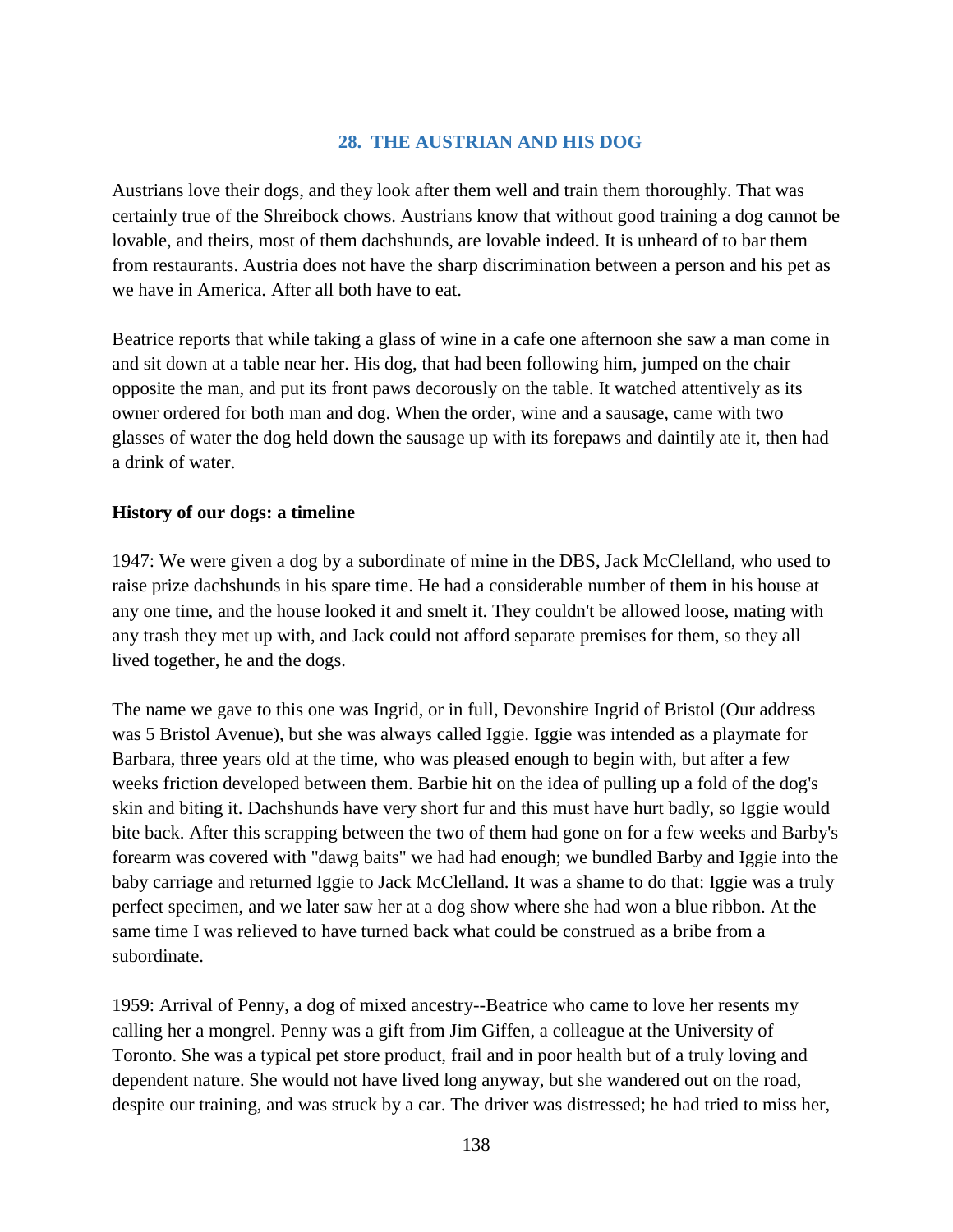## **28. THE AUSTRIAN AND HIS DOG**

Austrians love their dogs, and they look after them well and train them thoroughly. That was certainly true of the Shreibock chows. Austrians know that without good training a dog cannot be lovable, and theirs, most of them dachshunds, are lovable indeed. It is unheard of to bar them from restaurants. Austria does not have the sharp discrimination between a person and his pet as we have in America. After all both have to eat.

Beatrice reports that while taking a glass of wine in a cafe one afternoon she saw a man come in and sit down at a table near her. His dog, that had been following him, jumped on the chair opposite the man, and put its front paws decorously on the table. It watched attentively as its owner ordered for both man and dog. When the order, wine and a sausage, came with two glasses of water the dog held down the sausage up with its forepaws and daintily ate it, then had a drink of water.

## **History of our dogs: a timeline**

1947: We were given a dog by a subordinate of mine in the DBS, Jack McClelland, who used to raise prize dachshunds in his spare time. He had a considerable number of them in his house at any one time, and the house looked it and smelt it. They couldn't be allowed loose, mating with any trash they met up with, and Jack could not afford separate premises for them, so they all lived together, he and the dogs.

The name we gave to this one was Ingrid, or in full, Devonshire Ingrid of Bristol (Our address was 5 Bristol Avenue), but she was always called Iggie. Iggie was intended as a playmate for Barbara, three years old at the time, who was pleased enough to begin with, but after a few weeks friction developed between them. Barbie hit on the idea of pulling up a fold of the dog's skin and biting it. Dachshunds have very short fur and this must have hurt badly, so Iggie would bite back. After this scrapping between the two of them had gone on for a few weeks and Barby's forearm was covered with "dawg baits" we had had enough; we bundled Barby and Iggie into the baby carriage and returned Iggie to Jack McClelland. It was a shame to do that: Iggie was a truly perfect specimen, and we later saw her at a dog show where she had won a blue ribbon. At the same time I was relieved to have turned back what could be construed as a bribe from a subordinate.

1959: Arrival of Penny, a dog of mixed ancestry--Beatrice who came to love her resents my calling her a mongrel. Penny was a gift from Jim Giffen, a colleague at the University of Toronto. She was a typical pet store product, frail and in poor health but of a truly loving and dependent nature. She would not have lived long anyway, but she wandered out on the road, despite our training, and was struck by a car. The driver was distressed; he had tried to miss her,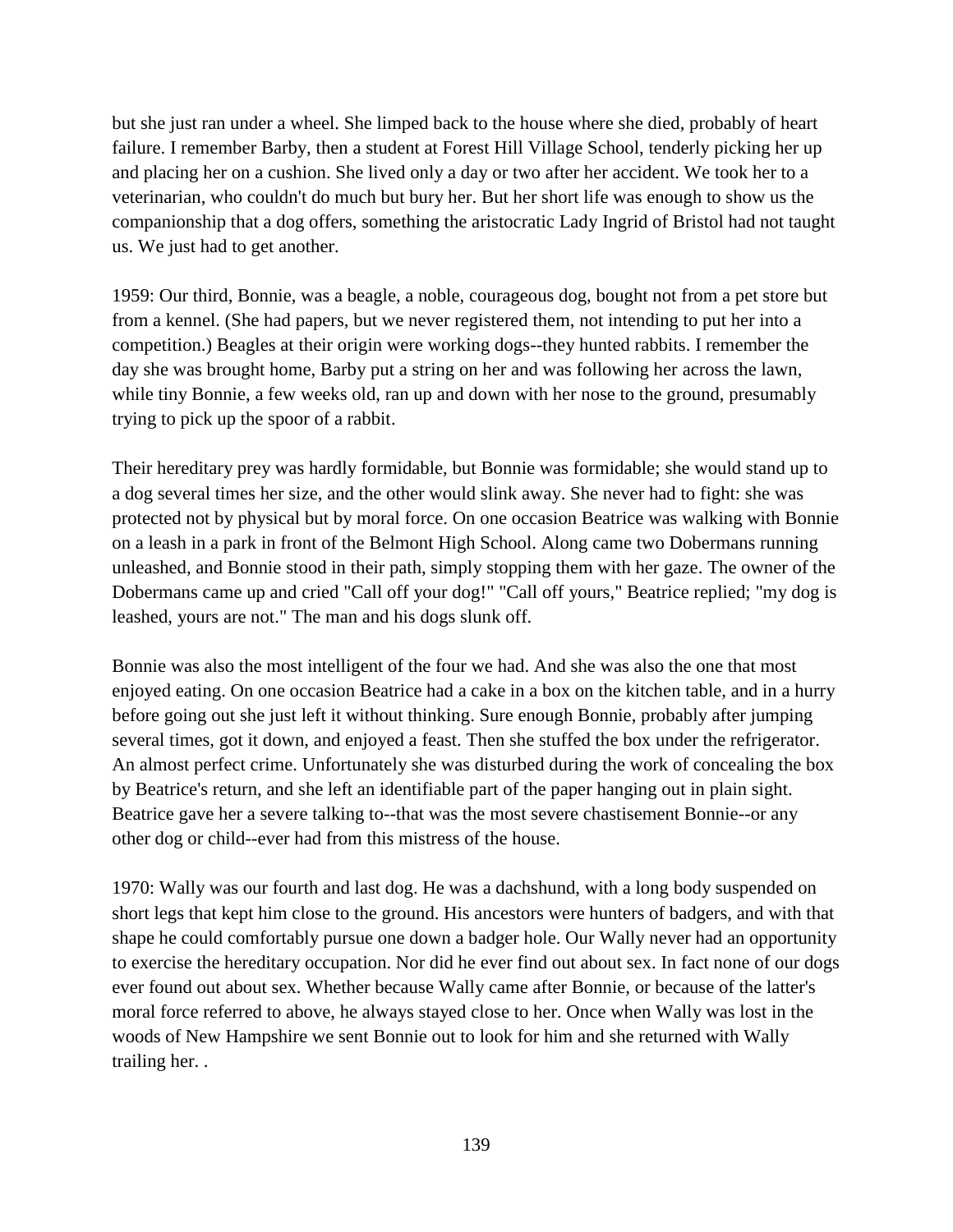but she just ran under a wheel. She limped back to the house where she died, probably of heart failure. I remember Barby, then a student at Forest Hill Village School, tenderly picking her up and placing her on a cushion. She lived only a day or two after her accident. We took her to a veterinarian, who couldn't do much but bury her. But her short life was enough to show us the companionship that a dog offers, something the aristocratic Lady Ingrid of Bristol had not taught us. We just had to get another.

1959: Our third, Bonnie, was a beagle, a noble, courageous dog, bought not from a pet store but from a kennel. (She had papers, but we never registered them, not intending to put her into a competition.) Beagles at their origin were working dogs--they hunted rabbits. I remember the day she was brought home, Barby put a string on her and was following her across the lawn, while tiny Bonnie, a few weeks old, ran up and down with her nose to the ground, presumably trying to pick up the spoor of a rabbit.

Their hereditary prey was hardly formidable, but Bonnie was formidable; she would stand up to a dog several times her size, and the other would slink away. She never had to fight: she was protected not by physical but by moral force. On one occasion Beatrice was walking with Bonnie on a leash in a park in front of the Belmont High School. Along came two Dobermans running unleashed, and Bonnie stood in their path, simply stopping them with her gaze. The owner of the Dobermans came up and cried "Call off your dog!" "Call off yours," Beatrice replied; "my dog is leashed, yours are not." The man and his dogs slunk off.

Bonnie was also the most intelligent of the four we had. And she was also the one that most enjoyed eating. On one occasion Beatrice had a cake in a box on the kitchen table, and in a hurry before going out she just left it without thinking. Sure enough Bonnie, probably after jumping several times, got it down, and enjoyed a feast. Then she stuffed the box under the refrigerator. An almost perfect crime. Unfortunately she was disturbed during the work of concealing the box by Beatrice's return, and she left an identifiable part of the paper hanging out in plain sight. Beatrice gave her a severe talking to--that was the most severe chastisement Bonnie--or any other dog or child--ever had from this mistress of the house.

1970: Wally was our fourth and last dog. He was a dachshund, with a long body suspended on short legs that kept him close to the ground. His ancestors were hunters of badgers, and with that shape he could comfortably pursue one down a badger hole. Our Wally never had an opportunity to exercise the hereditary occupation. Nor did he ever find out about sex. In fact none of our dogs ever found out about sex. Whether because Wally came after Bonnie, or because of the latter's moral force referred to above, he always stayed close to her. Once when Wally was lost in the woods of New Hampshire we sent Bonnie out to look for him and she returned with Wally trailing her. .